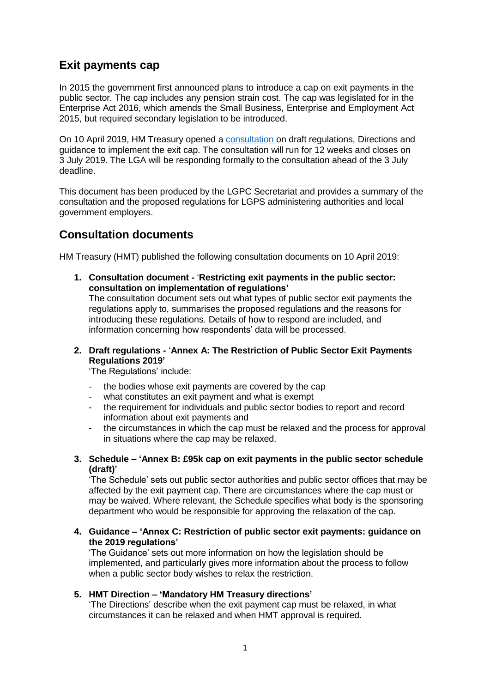## **Exit payments cap**

In 2015 the government first announced plans to introduce a cap on exit payments in the public sector. The cap includes any pension strain cost. The cap was legislated for in the Enterprise Act 2016, which amends the Small Business, Enterprise and Employment Act 2015, but required secondary legislation to be introduced.

On 10 April 2019, HM Treasury opened a [consultation](https://www.gov.uk/government/consultations/restricting-exit-payments-in-the-public-sector) on draft regulations, Directions and guidance to implement the exit cap. The consultation will run for 12 weeks and closes on 3 July 2019. The LGA will be responding formally to the consultation ahead of the 3 July deadline.

This document has been produced by the LGPC Secretariat and provides a summary of the consultation and the proposed regulations for LGPS administering authorities and local government employers.

## **Consultation documents**

HM Treasury (HMT) published the following consultation documents on 10 April 2019:

- **1. Consultation document -** '**Restricting exit payments in the public sector: consultation on implementation of regulations'** The consultation document sets out what types of public sector exit payments the regulations apply to, summarises the proposed regulations and the reasons for introducing these regulations. Details of how to respond are included, and information concerning how respondents' data will be processed.
- **2. Draft regulations -** '**Annex A: The Restriction of Public Sector Exit Payments Regulations 2019'**

'The Regulations' include:

- the bodies whose exit payments are covered by the cap
- what constitutes an exit payment and what is exempt
- the requirement for individuals and public sector bodies to report and record information about exit payments and
- the circumstances in which the cap must be relaxed and the process for approval in situations where the cap may be relaxed.
- **3. Schedule – 'Annex B: £95k cap on exit payments in the public sector schedule (draft)'**

'The Schedule' sets out public sector authorities and public sector offices that may be affected by the exit payment cap. There are circumstances where the cap must or may be waived. Where relevant, the Schedule specifies what body is the sponsoring department who would be responsible for approving the relaxation of the cap.

**4. Guidance – 'Annex C: Restriction of public sector exit payments: guidance on the 2019 regulations'**

'The Guidance' sets out more information on how the legislation should be implemented, and particularly gives more information about the process to follow when a public sector body wishes to relax the restriction.

## **5. HMT Direction – 'Mandatory HM Treasury directions'**

'The Directions' describe when the exit payment cap must be relaxed, in what circumstances it can be relaxed and when HMT approval is required.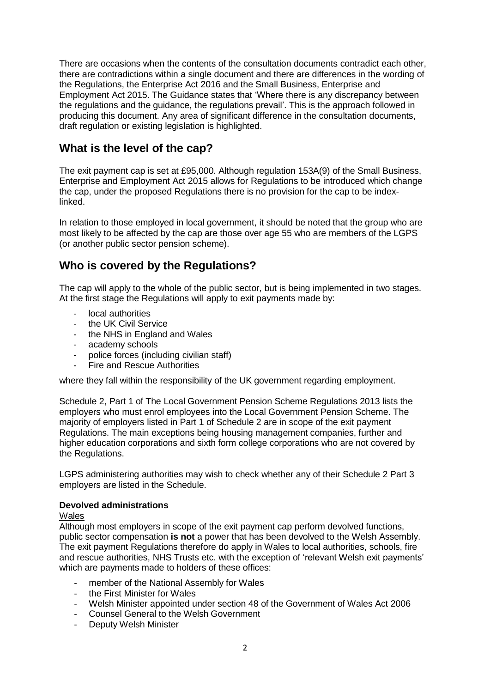There are occasions when the contents of the consultation documents contradict each other, there are contradictions within a single document and there are differences in the wording of the Regulations, the Enterprise Act 2016 and the Small Business, Enterprise and Employment Act 2015. The Guidance states that 'Where there is any discrepancy between the regulations and the guidance, the regulations prevail'. This is the approach followed in producing this document. Any area of significant difference in the consultation documents, draft regulation or existing legislation is highlighted.

## **What is the level of the cap?**

The exit payment cap is set at £95,000. Although regulation 153A(9) of the Small Business, Enterprise and Employment Act 2015 allows for Regulations to be introduced which change the cap, under the proposed Regulations there is no provision for the cap to be indexlinked.

In relation to those employed in local government, it should be noted that the group who are most likely to be affected by the cap are those over age 55 who are members of the LGPS (or another public sector pension scheme).

## **Who is covered by the Regulations?**

The cap will apply to the whole of the public sector, but is being implemented in two stages. At the first stage the Regulations will apply to exit payments made by:

- local authorities
- the UK Civil Service
- the NHS in England and Wales
- academy schools
- police forces (including civilian staff)
- Fire and Rescue Authorities

where they fall within the responsibility of the UK government regarding employment.

Schedule 2, Part 1 of The Local Government Pension Scheme Regulations 2013 lists the employers who must enrol employees into the Local Government Pension Scheme. The majority of employers listed in Part 1 of Schedule 2 are in scope of the exit payment Regulations. The main exceptions being housing management companies, further and higher education corporations and sixth form college corporations who are not covered by the Regulations.

LGPS administering authorities may wish to check whether any of their Schedule 2 Part 3 employers are listed in the Schedule.

## **Devolved administrations**

## Wales

Although most employers in scope of the exit payment cap perform devolved functions, public sector compensation **is not** a power that has been devolved to the Welsh Assembly. The exit payment Regulations therefore do apply in Wales to local authorities, schools, fire and rescue authorities, NHS Trusts etc. with the exception of 'relevant Welsh exit payments' which are payments made to holders of these offices:

- member of the National Assembly for Wales
- the First Minister for Wales
- Welsh Minister appointed under section 48 of the Government of Wales Act 2006
- Counsel General to the Welsh Government
- Deputy Welsh Minister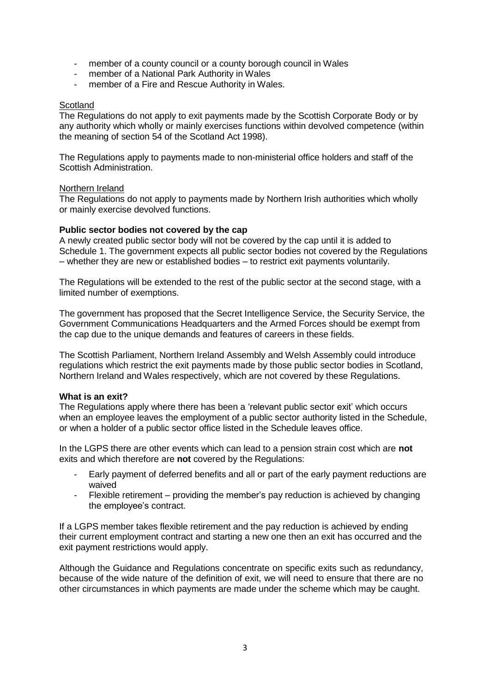- member of a county council or a county borough council in Wales
- member of a National Park Authority in Wales
- member of a Fire and Rescue Authority in Wales.

## **Scotland**

The Regulations do not apply to exit payments made by the Scottish Corporate Body or by any authority which wholly or mainly exercises functions within devolved competence (within the meaning of section 54 of the Scotland Act 1998).

The Regulations apply to payments made to non-ministerial office holders and staff of the Scottish Administration.

### Northern Ireland

The Regulations do not apply to payments made by Northern Irish authorities which wholly or mainly exercise devolved functions.

### **Public sector bodies not covered by the cap**

A newly created public sector body will not be covered by the cap until it is added to Schedule 1. The government expects all public sector bodies not covered by the Regulations – whether they are new or established bodies – to restrict exit payments voluntarily.

The Regulations will be extended to the rest of the public sector at the second stage, with a limited number of exemptions.

The government has proposed that the Secret Intelligence Service, the Security Service, the Government Communications Headquarters and the Armed Forces should be exempt from the cap due to the unique demands and features of careers in these fields.

The Scottish Parliament, Northern Ireland Assembly and Welsh Assembly could introduce regulations which restrict the exit payments made by those public sector bodies in Scotland, Northern Ireland and Wales respectively, which are not covered by these Regulations.

## **What is an exit?**

The Regulations apply where there has been a 'relevant public sector exit' which occurs when an employee leaves the employment of a public sector authority listed in the Schedule, or when a holder of a public sector office listed in the Schedule leaves office.

In the LGPS there are other events which can lead to a pension strain cost which are **not** exits and which therefore are **not** covered by the Regulations:

- Early payment of deferred benefits and all or part of the early payment reductions are waived
- Flexible retirement providing the member's pay reduction is achieved by changing the employee's contract.

If a LGPS member takes flexible retirement and the pay reduction is achieved by ending their current employment contract and starting a new one then an exit has occurred and the exit payment restrictions would apply.

Although the Guidance and Regulations concentrate on specific exits such as redundancy, because of the wide nature of the definition of exit, we will need to ensure that there are no other circumstances in which payments are made under the scheme which may be caught.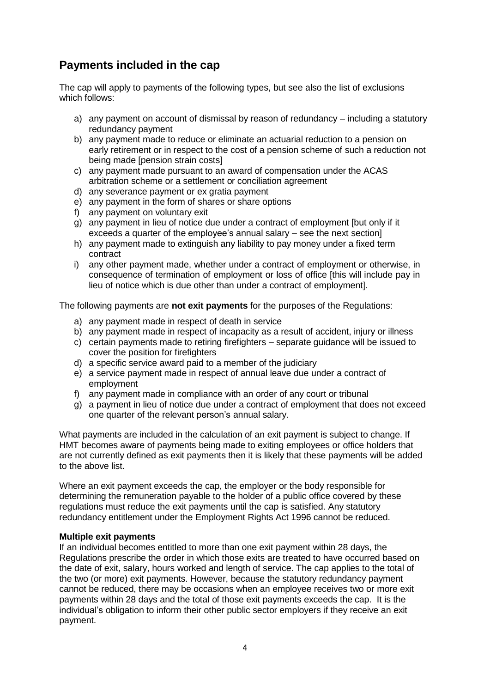## **Payments included in the cap**

The cap will apply to payments of the following types, but see also the list of exclusions which follows:

- a) any payment on account of dismissal by reason of redundancy including a statutory redundancy payment
- b) any payment made to reduce or eliminate an actuarial reduction to a pension on early retirement or in respect to the cost of a pension scheme of such a reduction not being made [pension strain costs]
- c) any payment made pursuant to an award of compensation under the ACAS arbitration scheme or a settlement or conciliation agreement
- d) any severance payment or ex gratia payment
- e) any payment in the form of shares or share options
- f) any payment on voluntary exit
- g) any payment in lieu of notice due under a contract of employment [but only if it exceeds a quarter of the employee's annual salary – see the next section]
- h) any payment made to extinguish any liability to pay money under a fixed term contract
- i) any other payment made, whether under a contract of employment or otherwise, in consequence of termination of employment or loss of office [this will include pay in lieu of notice which is due other than under a contract of employment].

The following payments are **not exit payments** for the purposes of the Regulations:

- a) any payment made in respect of death in service
- b) any payment made in respect of incapacity as a result of accident, injury or illness
- c) certain payments made to retiring firefighters separate guidance will be issued to cover the position for firefighters
- d) a specific service award paid to a member of the judiciary
- e) a service payment made in respect of annual leave due under a contract of employment
- f) any payment made in compliance with an order of any court or tribunal
- g) a payment in lieu of notice due under a contract of employment that does not exceed one quarter of the relevant person's annual salary.

What payments are included in the calculation of an exit payment is subject to change. If HMT becomes aware of payments being made to exiting employees or office holders that are not currently defined as exit payments then it is likely that these payments will be added to the above list.

Where an exit payment exceeds the cap, the employer or the body responsible for determining the remuneration payable to the holder of a public office covered by these regulations must reduce the exit payments until the cap is satisfied. Any statutory redundancy entitlement under the Employment Rights Act 1996 cannot be reduced.

#### **Multiple exit payments**

If an individual becomes entitled to more than one exit payment within 28 days, the Regulations prescribe the order in which those exits are treated to have occurred based on the date of exit, salary, hours worked and length of service. The cap applies to the total of the two (or more) exit payments. However, because the statutory redundancy payment cannot be reduced, there may be occasions when an employee receives two or more exit payments within 28 days and the total of those exit payments exceeds the cap. It is the individual's obligation to inform their other public sector employers if they receive an exit payment.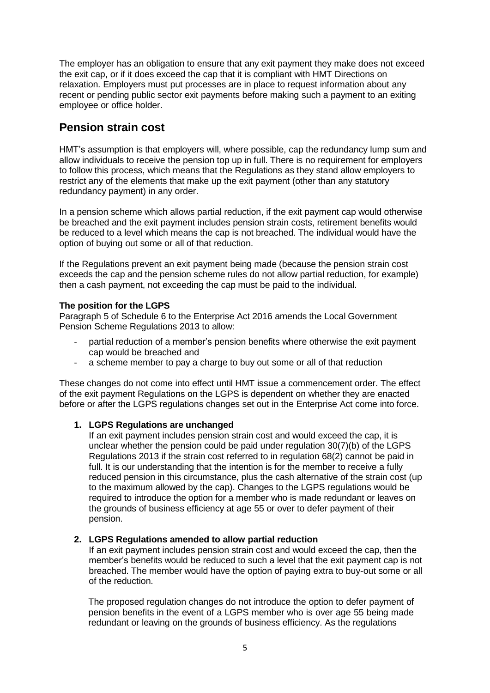The employer has an obligation to ensure that any exit payment they make does not exceed the exit cap, or if it does exceed the cap that it is compliant with HMT Directions on relaxation. Employers must put processes are in place to request information about any recent or pending public sector exit payments before making such a payment to an exiting employee or office holder.

## **Pension strain cost**

HMT's assumption is that employers will, where possible, cap the redundancy lump sum and allow individuals to receive the pension top up in full. There is no requirement for employers to follow this process, which means that the Regulations as they stand allow employers to restrict any of the elements that make up the exit payment (other than any statutory redundancy payment) in any order.

In a pension scheme which allows partial reduction, if the exit payment cap would otherwise be breached and the exit payment includes pension strain costs, retirement benefits would be reduced to a level which means the cap is not breached. The individual would have the option of buying out some or all of that reduction.

If the Regulations prevent an exit payment being made (because the pension strain cost exceeds the cap and the pension scheme rules do not allow partial reduction, for example) then a cash payment, not exceeding the cap must be paid to the individual.

## **The position for the LGPS**

Paragraph 5 of Schedule 6 to the Enterprise Act 2016 amends the Local Government Pension Scheme Regulations 2013 to allow:

- partial reduction of a member's pension benefits where otherwise the exit payment cap would be breached and
- a scheme member to pay a charge to buy out some or all of that reduction

These changes do not come into effect until HMT issue a commencement order. The effect of the exit payment Regulations on the LGPS is dependent on whether they are enacted before or after the LGPS regulations changes set out in the Enterprise Act come into force.

## **1. LGPS Regulations are unchanged**

If an exit payment includes pension strain cost and would exceed the cap, it is unclear whether the pension could be paid under regulation 30(7)(b) of the LGPS Regulations 2013 if the strain cost referred to in regulation 68(2) cannot be paid in full. It is our understanding that the intention is for the member to receive a fully reduced pension in this circumstance, plus the cash alternative of the strain cost (up to the maximum allowed by the cap). Changes to the LGPS regulations would be required to introduce the option for a member who is made redundant or leaves on the grounds of business efficiency at age 55 or over to defer payment of their pension.

## **2. LGPS Regulations amended to allow partial reduction**

If an exit payment includes pension strain cost and would exceed the cap, then the member's benefits would be reduced to such a level that the exit payment cap is not breached. The member would have the option of paying extra to buy-out some or all of the reduction.

The proposed regulation changes do not introduce the option to defer payment of pension benefits in the event of a LGPS member who is over age 55 being made redundant or leaving on the grounds of business efficiency. As the regulations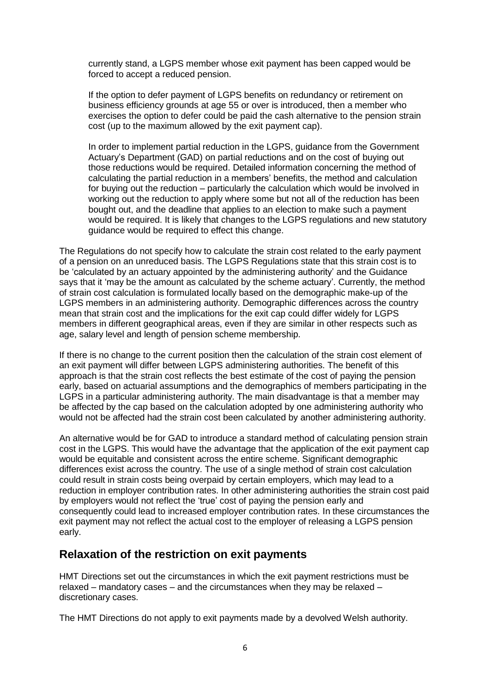currently stand, a LGPS member whose exit payment has been capped would be forced to accept a reduced pension.

If the option to defer payment of LGPS benefits on redundancy or retirement on business efficiency grounds at age 55 or over is introduced, then a member who exercises the option to defer could be paid the cash alternative to the pension strain cost (up to the maximum allowed by the exit payment cap).

In order to implement partial reduction in the LGPS, guidance from the Government Actuary's Department (GAD) on partial reductions and on the cost of buying out those reductions would be required. Detailed information concerning the method of calculating the partial reduction in a members' benefits, the method and calculation for buying out the reduction – particularly the calculation which would be involved in working out the reduction to apply where some but not all of the reduction has been bought out, and the deadline that applies to an election to make such a payment would be required. It is likely that changes to the LGPS regulations and new statutory guidance would be required to effect this change.

The Regulations do not specify how to calculate the strain cost related to the early payment of a pension on an unreduced basis. The LGPS Regulations state that this strain cost is to be 'calculated by an actuary appointed by the administering authority' and the Guidance says that it 'may be the amount as calculated by the scheme actuary'. Currently, the method of strain cost calculation is formulated locally based on the demographic make-up of the LGPS members in an administering authority. Demographic differences across the country mean that strain cost and the implications for the exit cap could differ widely for LGPS members in different geographical areas, even if they are similar in other respects such as age, salary level and length of pension scheme membership.

If there is no change to the current position then the calculation of the strain cost element of an exit payment will differ between LGPS administering authorities. The benefit of this approach is that the strain cost reflects the best estimate of the cost of paying the pension early, based on actuarial assumptions and the demographics of members participating in the LGPS in a particular administering authority. The main disadvantage is that a member may be affected by the cap based on the calculation adopted by one administering authority who would not be affected had the strain cost been calculated by another administering authority.

An alternative would be for GAD to introduce a standard method of calculating pension strain cost in the LGPS. This would have the advantage that the application of the exit payment cap would be equitable and consistent across the entire scheme. Significant demographic differences exist across the country. The use of a single method of strain cost calculation could result in strain costs being overpaid by certain employers, which may lead to a reduction in employer contribution rates. In other administering authorities the strain cost paid by employers would not reflect the 'true' cost of paying the pension early and consequently could lead to increased employer contribution rates. In these circumstances the exit payment may not reflect the actual cost to the employer of releasing a LGPS pension early.

## **Relaxation of the restriction on exit payments**

HMT Directions set out the circumstances in which the exit payment restrictions must be relaxed – mandatory cases – and the circumstances when they may be relaxed – discretionary cases.

The HMT Directions do not apply to exit payments made by a devolved Welsh authority.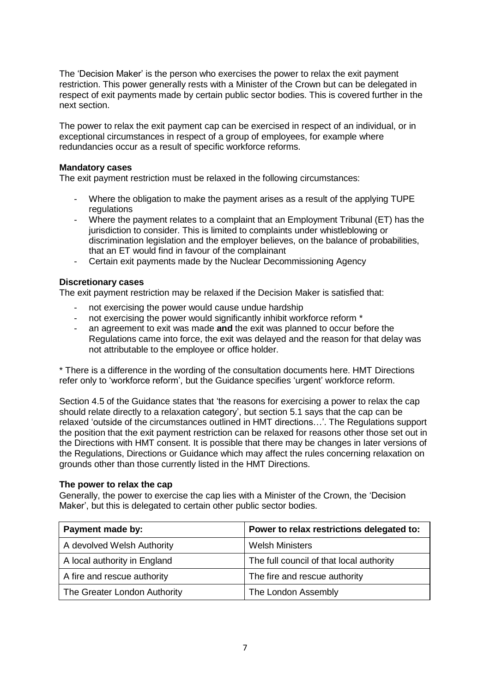The 'Decision Maker' is the person who exercises the power to relax the exit payment restriction. This power generally rests with a Minister of the Crown but can be delegated in respect of exit payments made by certain public sector bodies. This is covered further in the next section.

The power to relax the exit payment cap can be exercised in respect of an individual, or in exceptional circumstances in respect of a group of employees, for example where redundancies occur as a result of specific workforce reforms.

#### **Mandatory cases**

The exit payment restriction must be relaxed in the following circumstances:

- Where the obligation to make the payment arises as a result of the applying TUPE regulations
- Where the payment relates to a complaint that an Employment Tribunal (ET) has the jurisdiction to consider. This is limited to complaints under whistleblowing or discrimination legislation and the employer believes, on the balance of probabilities, that an ET would find in favour of the complainant
- Certain exit payments made by the Nuclear Decommissioning Agency

### **Discretionary cases**

The exit payment restriction may be relaxed if the Decision Maker is satisfied that:

- not exercising the power would cause undue hardship
- not exercising the power would significantly inhibit workforce reform \*
- an agreement to exit was made **and** the exit was planned to occur before the Regulations came into force, the exit was delayed and the reason for that delay was not attributable to the employee or office holder.

\* There is a difference in the wording of the consultation documents here. HMT Directions refer only to 'workforce reform', but the Guidance specifies 'urgent' workforce reform.

Section 4.5 of the Guidance states that 'the reasons for exercising a power to relax the cap should relate directly to a relaxation category', but section 5.1 says that the cap can be relaxed 'outside of the circumstances outlined in HMT directions…'. The Regulations support the position that the exit payment restriction can be relaxed for reasons other those set out in the Directions with HMT consent. It is possible that there may be changes in later versions of the Regulations, Directions or Guidance which may affect the rules concerning relaxation on grounds other than those currently listed in the HMT Directions.

## **The power to relax the cap**

Generally, the power to exercise the cap lies with a Minister of the Crown, the 'Decision Maker', but this is delegated to certain other public sector bodies.

| Payment made by:             | Power to relax restrictions delegated to: |
|------------------------------|-------------------------------------------|
| A devolved Welsh Authority   | <b>Welsh Ministers</b>                    |
| A local authority in England | The full council of that local authority  |
| A fire and rescue authority  | The fire and rescue authority             |
| The Greater London Authority | The London Assembly                       |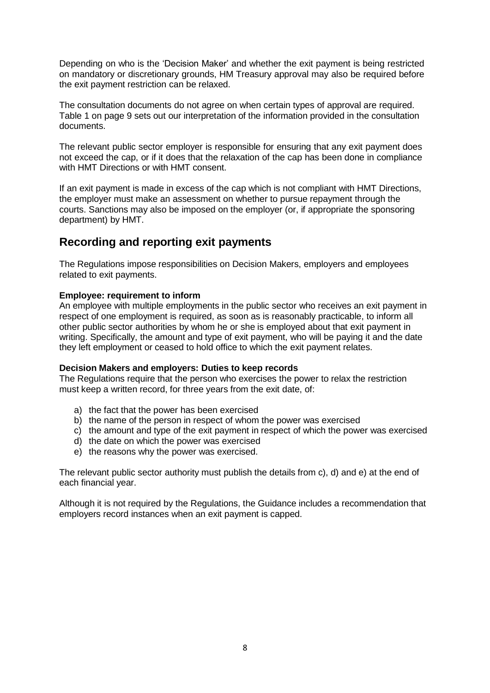Depending on who is the 'Decision Maker' and whether the exit payment is being restricted on mandatory or discretionary grounds, HM Treasury approval may also be required before the exit payment restriction can be relaxed.

The consultation documents do not agree on when certain types of approval are required. Table 1 on page 9 sets out our interpretation of the information provided in the consultation documents.

The relevant public sector employer is responsible for ensuring that any exit payment does not exceed the cap, or if it does that the relaxation of the cap has been done in compliance with HMT Directions or with HMT consent.

If an exit payment is made in excess of the cap which is not compliant with HMT Directions, the employer must make an assessment on whether to pursue repayment through the courts. Sanctions may also be imposed on the employer (or, if appropriate the sponsoring department) by HMT.

## **Recording and reporting exit payments**

The Regulations impose responsibilities on Decision Makers, employers and employees related to exit payments.

## **Employee: requirement to inform**

An employee with multiple employments in the public sector who receives an exit payment in respect of one employment is required, as soon as is reasonably practicable, to inform all other public sector authorities by whom he or she is employed about that exit payment in writing. Specifically, the amount and type of exit payment, who will be paying it and the date they left employment or ceased to hold office to which the exit payment relates.

## **Decision Makers and employers: Duties to keep records**

The Regulations require that the person who exercises the power to relax the restriction must keep a written record, for three years from the exit date, of:

- a) the fact that the power has been exercised
- b) the name of the person in respect of whom the power was exercised
- c) the amount and type of the exit payment in respect of which the power was exercised
- d) the date on which the power was exercised
- e) the reasons why the power was exercised.

The relevant public sector authority must publish the details from c), d) and e) at the end of each financial year.

Although it is not required by the Regulations, the Guidance includes a recommendation that employers record instances when an exit payment is capped.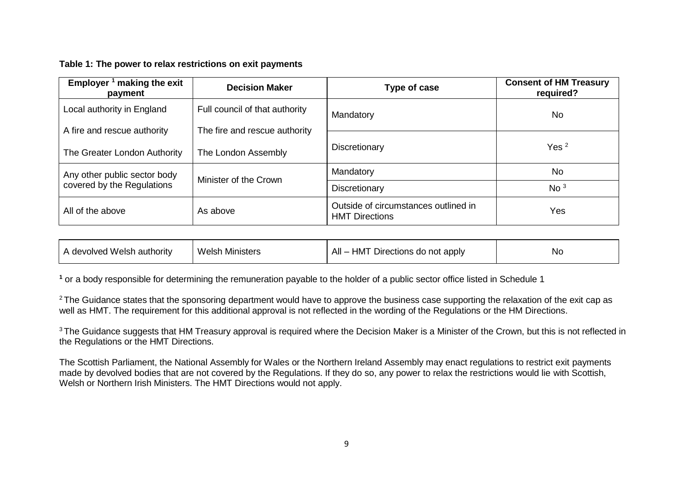### **Table 1: The power to relax restrictions on exit payments**

| Employer $1$ making the exit<br>payment                    | <b>Decision Maker</b>          | Type of case                                                  | <b>Consent of HM Treasury</b><br>required? |
|------------------------------------------------------------|--------------------------------|---------------------------------------------------------------|--------------------------------------------|
| Local authority in England                                 | Full council of that authority | Mandatory                                                     | <b>No</b>                                  |
| A fire and rescue authority                                | The fire and rescue authority  |                                                               |                                            |
| The Greater London Authority                               | The London Assembly            | Discretionary                                                 | Yes <sup>2</sup>                           |
| Any other public sector body<br>covered by the Regulations | Minister of the Crown          | Mandatory                                                     | <b>No</b>                                  |
|                                                            |                                | Discretionary                                                 | No <sup>3</sup>                            |
| All of the above                                           | As above                       | Outside of circumstances outlined in<br><b>HMT Directions</b> | Yes                                        |

| A devolved Welsh authority | <b>Welsh Ministers</b> | All –<br>– HMT Directions do not apply | <b>Nc</b> |
|----------------------------|------------------------|----------------------------------------|-----------|
|                            |                        |                                        |           |

**<sup>1</sup>** or a body responsible for determining the remuneration payable to the holder of a public sector office listed in Schedule 1

<sup>2</sup> The Guidance states that the sponsoring department would have to approve the business case supporting the relaxation of the exit cap as well as HMT. The requirement for this additional approval is not reflected in the wording of the Regulations or the HM Directions.

<sup>3</sup> The Guidance suggests that HM Treasury approval is required where the Decision Maker is a Minister of the Crown, but this is not reflected in the Regulations or the HMT Directions.

The Scottish Parliament, the National Assembly for Wales or the Northern Ireland Assembly may enact regulations to restrict exit payments made by devolved bodies that are not covered by the Regulations. If they do so, any power to relax the restrictions would lie with Scottish, Welsh or Northern Irish Ministers. The HMT Directions would not apply.